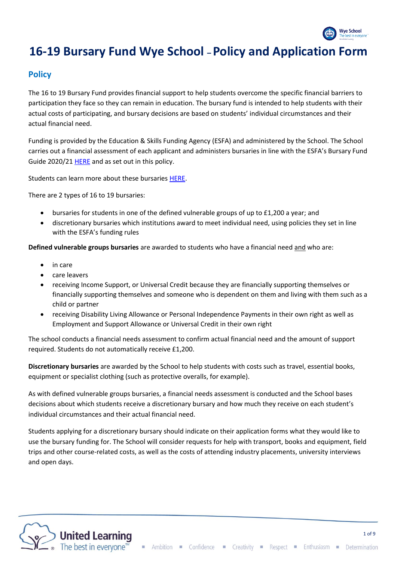

# **16-19 Bursary Fund Wye School –Policy and Application Form**

## **Policy**

The 16 to 19 Bursary Fund provides financial support to help students overcome the specific financial barriers to participation they face so they can remain in education. The bursary fund is intended to help students with their actual costs of participating, and bursary decisions are based on students' individual circumstances and their actual financial need.

Funding is provided by the Education & Skills Funding Agency (ESFA) and administered by the School. The School carries out a financial assessment of each applicant and administers bursaries in line with the ESFA's Bursary Fund Guide 2020/2[1 HERE](https://www.gov.uk/guidance/16-to-19-bursary-fund-guide-2020-to-2021-academic-year#checklist) and as set out in this policy.

Students can learn more about these bursaries [HERE.](https://www.gov.uk/1619-bursary-fund)

There are 2 types of 16 to 19 bursaries:

- bursaries for students in one of the defined vulnerable groups of up to £1,200 a year; and
- discretionary bursaries which institutions award to meet individual need, using policies they set in line with the ESFA's funding rules

**Defined vulnerable groups bursaries** are awarded to students who have a financial need and who are:

- in care
- care leavers
- receiving Income Support, or Universal Credit because they are financially supporting themselves or financially supporting themselves and someone who is dependent on them and living with them such as a child or partner
- receiving Disability Living Allowance or Personal Independence Payments in their own right as well as Employment and Support Allowance or Universal Credit in their own right

The school conducts a financial needs assessment to confirm actual financial need and the amount of support required. Students do not automatically receive £1,200.

**Discretionary bursaries** are awarded by the School to help students with costs such as travel, essential books, equipment or specialist clothing (such as protective overalls, for example).

As with defined vulnerable groups bursaries, a financial needs assessment is conducted and the School bases decisions about which students receive a discretionary bursary and how much they receive on each student's individual circumstances and their actual financial need.

Students applying for a discretionary bursary should indicate on their application forms what they would like to use the bursary funding for. The School will consider requests for help with transport, books and equipment, field trips and other course-related costs, as well as the costs of attending industry placements, university interviews and open days.

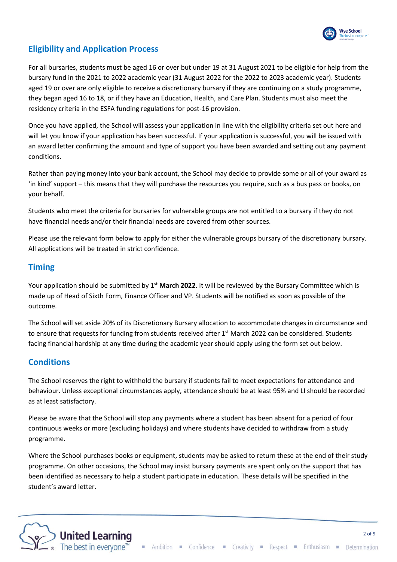

# **Eligibility and Application Process**

For all bursaries, students must be aged 16 or over but under 19 at 31 August 2021 to be eligible for help from the bursary fund in the 2021 to 2022 academic year (31 August 2022 for the 2022 to 2023 academic year). Students aged 19 or over are only eligible to receive a discretionary bursary if they are continuing on a study programme, they began aged 16 to 18, or if they have an Education, Health, and Care Plan. Students must also meet the residency criteria in the ESFA funding regulations for post-16 provision.

Once you have applied, the School will assess your application in line with the eligibility criteria set out here and will let you know if your application has been successful. If your application is successful, you will be issued with an award letter confirming the amount and type of support you have been awarded and setting out any payment conditions.

Rather than paying money into your bank account, the School may decide to provide some or all of your award as 'in kind' support – this means that they will purchase the resources you require, such as a bus pass or books, on your behalf.

Students who meet the criteria for bursaries for vulnerable groups are not entitled to a bursary if they do not have financial needs and/or their financial needs are covered from other sources.

Please use the relevant form below to apply for either the vulnerable groups bursary of the discretionary bursary. All applications will be treated in strict confidence.

# **Timing**

Your application should be submitted by **1 st March 2022**. It will be reviewed by the Bursary Committee which is made up of Head of Sixth Form, Finance Officer and VP. Students will be notified as soon as possible of the outcome.

The School will set aside 20% of its Discretionary Bursary allocation to accommodate changes in circumstance and to ensure that requests for funding from students received after 1<sup>st</sup> March 2022 can be considered. Students facing financial hardship at any time during the academic year should apply using the form set out below.

# **Conditions**

The School reserves the right to withhold the bursary if students fail to meet expectations for attendance and behaviour. Unless exceptional circumstances apply, attendance should be at least 95% and LI should be recorded as at least satisfactory.

Please be aware that the School will stop any payments where a student has been absent for a period of four continuous weeks or more (excluding holidays) and where students have decided to withdraw from a study programme.

Where the School purchases books or equipment, students may be asked to return these at the end of their study programme. On other occasions, the School may insist bursary payments are spent only on the support that has been identified as necessary to help a student participate in education. These details will be specified in the student's award letter.

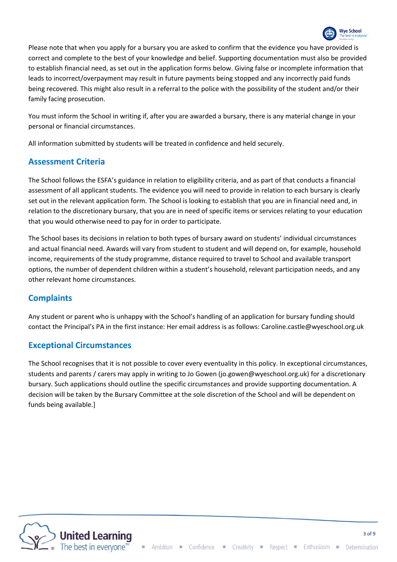

Please note that when you apply for a bursary you are asked to confirm that the evidence you have provided is correct and complete to the best of your knowledge and belief. Supporting documentation must also be provided to establish financial need, as set out in the application forms below. Giving false or incomplete information that leads to incorrect/overpayment may result in future payments being stopped and any incorrectly paid funds being recovered. This might also result in a referral to the police with the possibility of the student and/or their family facing prosecution.

You must inform the School in writing if, after you are awarded a bursary, there is any material change in your personal or financial circumstances.

All information submitted by students will be treated in confidence and held securely.

### **Assessment Criteria**

The School follows the ESFA's guidance in relation to eligibility criteria, and as part of that conducts a financial assessment of all applicant students. The evidence you will need to provide in relation to each bursary is clearly set out in the relevant application form. The School is looking to establish that you are in financial need and, in relation to the discretionary bursary, that you are in need of specific items or services relating to your education that you would otherwise need to pay for in order to participate.

The School bases its decisions in relation to both types of bursary award on students' individual circumstances and actual financial need. Awards will vary from student to student and will depend on, for example, household income, requirements of the study programme, distance required to travel to School and available transport options, the number of dependent children within a student's household, relevant participation needs, and any other relevant home circumstances.

#### **Complaints**

Any student or parent who is unhappy with the School's handling of an application for bursary funding should contact the Principal's PA in the first instance: Her email address is as follows: Caroline.castle@wyeschool.org.uk

#### **Exceptional Circumstances**

The School recognises that it is not possible to cover every eventuality in this policy. In exceptional circumstances, students and parents / carers may apply in writing to Jo Gowen (jo.gowen@wyeschool.org.uk) for a discretionary bursary. Such applications should outline the specific circumstances and provide supporting documentation. A decision will be taken by the Bursary Committee at the sole discretion of the School and will be dependent on funds being available.]

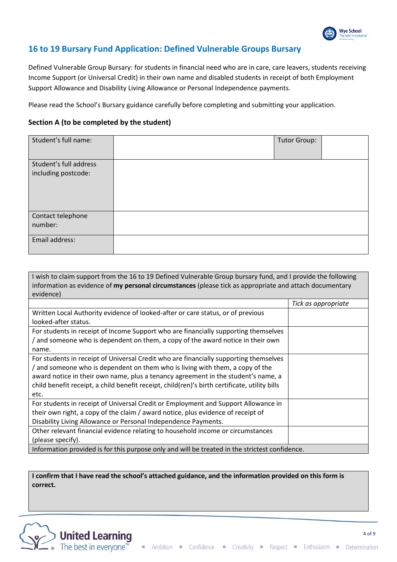

# **16 to 19 Bursary Fund Application: Defined Vulnerable Groups Bursary**

Defined Vulnerable Group Bursary: for students in financial need who are in care, care leavers, students receiving Income Support (or Universal Credit) in their own name and disabled students in receipt of both Employment Support Allowance and Disability Living Allowance or Personal Independence payments.

Please read the School's Bursary guidance carefully before completing and submitting your application.

#### **Section A (to be completed by the student)**

| Student's full name:                          | <b>Tutor Group:</b> |
|-----------------------------------------------|---------------------|
| Student's full address<br>including postcode: |                     |
| Contact telephone<br>number:                  |                     |
| Email address:                                |                     |

I wish to claim support from the 16 to 19 Defined Vulnerable Group bursary fund, and I provide the following information as evidence of **my personal circumstances** (please tick as appropriate and attach documentary evidence)

|                                                                                                | Tick as appropriate |  |
|------------------------------------------------------------------------------------------------|---------------------|--|
| Written Local Authority evidence of looked-after or care status, or of previous                |                     |  |
| looked-after status.                                                                           |                     |  |
| For students in receipt of Income Support who are financially supporting themselves            |                     |  |
| / and someone who is dependent on them, a copy of the award notice in their own                |                     |  |
| name.                                                                                          |                     |  |
| For students in receipt of Universal Credit who are financially supporting themselves          |                     |  |
| / and someone who is dependent on them who is living with them, a copy of the                  |                     |  |
| award notice in their own name, plus a tenancy agreement in the student's name, a              |                     |  |
| child benefit receipt, a child benefit receipt, child(ren)'s birth certificate, utility bills  |                     |  |
| etc.                                                                                           |                     |  |
| For students in receipt of Universal Credit or Employment and Support Allowance in             |                     |  |
| their own right, a copy of the claim / award notice, plus evidence of receipt of               |                     |  |
| Disability Living Allowance or Personal Independence Payments.                                 |                     |  |
| Other relevant financial evidence relating to household income or circumstances                |                     |  |
| (please specify).                                                                              |                     |  |
| Information provided is for this purpose only and will be treated in the strictest confidence. |                     |  |

**I confirm that I have read the school's attached guidance, and the information provided on this form is correct.**

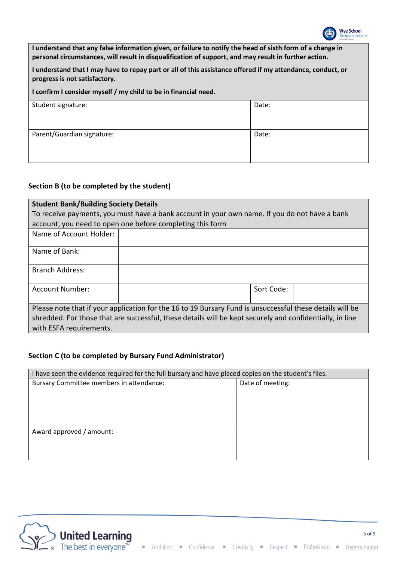

**I understand that any false information given, or failure to notify the head of sixth form of a change in personal circumstances, will result in disqualification of support, and may result in further action.**

**I understand that I may have to repay part or all of this assistance offered if my attendance, conduct, or progress is not satisfactory.**

**I confirm I consider myself / my child to be in financial need.**

| Student signature:         | Date: |
|----------------------------|-------|
|                            |       |
|                            |       |
|                            |       |
|                            |       |
|                            |       |
| Parent/Guardian signature: | Date: |
|                            |       |
|                            |       |
|                            |       |
|                            |       |
|                            |       |

#### **Section B (to be completed by the student)**

| <b>Student Bank/Building Society Details</b>                                                             |  |            |  |
|----------------------------------------------------------------------------------------------------------|--|------------|--|
| To receive payments, you must have a bank account in your own name. If you do not have a bank            |  |            |  |
| account, you need to open one before completing this form                                                |  |            |  |
| Name of Account Holder:                                                                                  |  |            |  |
| Name of Bank:                                                                                            |  |            |  |
| <b>Branch Address:</b>                                                                                   |  |            |  |
| <b>Account Number:</b>                                                                                   |  | Sort Code: |  |
| Please note that if your application for the 16 to 19 Bursary Fund is unsuccessful these details will be |  |            |  |
| shredded. For those that are successful, these details will be kept securely and confidentially, in line |  |            |  |
| with ESFA requirements.                                                                                  |  |            |  |

#### **Section C (to be completed by Bursary Fund Administrator)**

| I have seen the evidence required for the full bursary and have placed copies on the student's files. |                  |  |
|-------------------------------------------------------------------------------------------------------|------------------|--|
| Bursary Committee members in attendance:                                                              | Date of meeting: |  |
|                                                                                                       |                  |  |
|                                                                                                       |                  |  |
|                                                                                                       |                  |  |
|                                                                                                       |                  |  |
| Award approved / amount:                                                                              |                  |  |
|                                                                                                       |                  |  |
|                                                                                                       |                  |  |

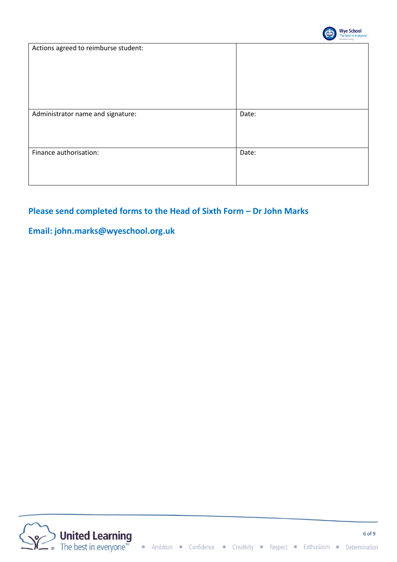

| Actions agreed to reimburse student: |       |
|--------------------------------------|-------|
| Administrator name and signature:    | Date: |
| Finance authorisation:               | Date: |

# **Please send completed forms to the Head of Sixth Form – Dr John Marks**

# **Email: john.marks@wyeschool.org.uk**

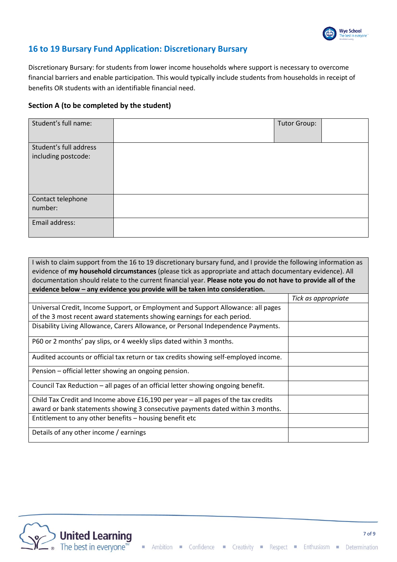

# **16 to 19 Bursary Fund Application: Discretionary Bursary**

Discretionary Bursary: for students from lower income households where support is necessary to overcome financial barriers and enable participation. This would typically include students from households in receipt of benefits OR students with an identifiable financial need.

#### **Section A (to be completed by the student)**

| Student's full name:                          | Tutor Group: |  |
|-----------------------------------------------|--------------|--|
| Student's full address<br>including postcode: |              |  |
| Contact telephone<br>number:                  |              |  |
| Email address:                                |              |  |

| I wish to claim support from the 16 to 19 discretionary bursary fund, and I provide the following information as<br>evidence of my household circumstances (please tick as appropriate and attach documentary evidence). All |                     |  |
|------------------------------------------------------------------------------------------------------------------------------------------------------------------------------------------------------------------------------|---------------------|--|
| documentation should relate to the current financial year. Please note you do not have to provide all of the                                                                                                                 |                     |  |
| evidence below - any evidence you provide will be taken into consideration.                                                                                                                                                  |                     |  |
|                                                                                                                                                                                                                              | Tick as appropriate |  |
| Universal Credit, Income Support, or Employment and Support Allowance: all pages                                                                                                                                             |                     |  |
| of the 3 most recent award statements showing earnings for each period.                                                                                                                                                      |                     |  |
| Disability Living Allowance, Carers Allowance, or Personal Independence Payments.                                                                                                                                            |                     |  |
| P60 or 2 months' pay slips, or 4 weekly slips dated within 3 months.                                                                                                                                                         |                     |  |
| Audited accounts or official tax return or tax credits showing self-employed income.                                                                                                                                         |                     |  |
| Pension – official letter showing an ongoing pension.                                                                                                                                                                        |                     |  |
| Council Tax Reduction - all pages of an official letter showing ongoing benefit.                                                                                                                                             |                     |  |
| Child Tax Credit and Income above $£16,190$ per year - all pages of the tax credits                                                                                                                                          |                     |  |
| award or bank statements showing 3 consecutive payments dated within 3 months.                                                                                                                                               |                     |  |
| Entitlement to any other benefits - housing benefit etc                                                                                                                                                                      |                     |  |
| Details of any other income / earnings                                                                                                                                                                                       |                     |  |

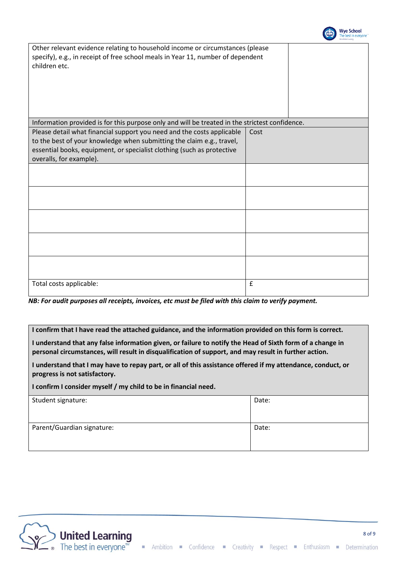

| Other relevant evidence relating to household income or circumstances (please<br>specify), e.g., in receipt of free school meals in Year 11, number of dependent<br>children etc.                                                                    |      |  |
|------------------------------------------------------------------------------------------------------------------------------------------------------------------------------------------------------------------------------------------------------|------|--|
| Information provided is for this purpose only and will be treated in the strictest confidence.                                                                                                                                                       |      |  |
| Please detail what financial support you need and the costs applicable<br>to the best of your knowledge when submitting the claim e.g., travel,<br>essential books, equipment, or specialist clothing (such as protective<br>overalls, for example). | Cost |  |
|                                                                                                                                                                                                                                                      |      |  |
|                                                                                                                                                                                                                                                      |      |  |
|                                                                                                                                                                                                                                                      |      |  |
|                                                                                                                                                                                                                                                      |      |  |
|                                                                                                                                                                                                                                                      |      |  |
| Total costs applicable:                                                                                                                                                                                                                              | £    |  |

*NB: For audit purposes all receipts, invoices, etc must be filed with this claim to verify payment.*

**I confirm that I have read the attached guidance, and the information provided on this form is correct.**

**I understand that any false information given, or failure to notify the Head of Sixth form of a change in personal circumstances, will result in disqualification of support, and may result in further action.**

**I understand that I may have to repay part, or all of this assistance offered if my attendance, conduct, or progress is not satisfactory.**

**I confirm I consider myself / my child to be in financial need.**

| Student signature:         | Date: |
|----------------------------|-------|
| Parent/Guardian signature: | Date: |